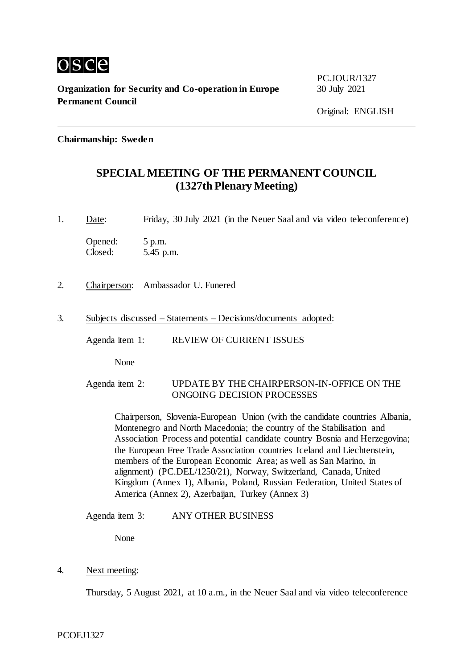

**Organization for Security and Co-operation in Europe** 30 July 2021 **Permanent Council**

PC.JOUR/1327

**Chairmanship: Sweden**

# **SPECIAL MEETING OF THE PERMANENT COUNCIL (1327th Plenary Meeting)**

1. Date: Friday, 30 July 2021 (in the Neuer Saal and via video teleconference)

Opened: 5 p.m. Closed: 5.45 p.m.

- 2. Chairperson: Ambassador U. Funered
- 3. Subjects discussed Statements Decisions/documents adopted:
	- Agenda item 1: REVIEW OF CURRENT ISSUES

None

#### Agenda item 2: UPDATE BY THE CHAIRPERSON-IN-OFFICE ON THE ONGOING DECISION PROCESSES

Chairperson, Slovenia-European Union (with the candidate countries Albania, Montenegro and North Macedonia; the country of the Stabilisation and Association Process and potential candidate country Bosnia and Herzegovina; the European Free Trade Association countries Iceland and Liechtenstein, members of the European Economic Area; as well as San Marino, in alignment) (PC.DEL/1250/21), Norway, Switzerland, Canada, United Kingdom (Annex 1), Albania, Poland, Russian Federation, United States of America (Annex 2), Azerbaijan, Turkey (Annex 3)

Agenda item 3: ANY OTHER BUSINESS

None

4. Next meeting:

Thursday, 5 August 2021, at 10 a.m., in the Neuer Saal and via video teleconference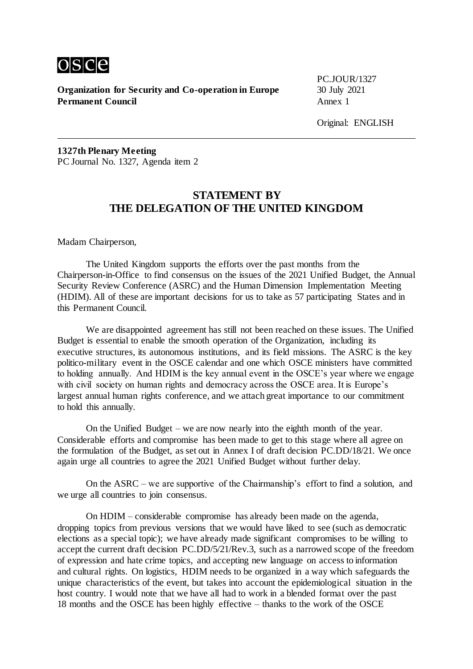

**Organization for Security and Co-operation in Europe** 30 July 2021 **Permanent Council** Annex 1

PC.JOUR/1327

Original: ENGLISH

**1327th Plenary Meeting** PC Journal No. 1327, Agenda item 2

# **STATEMENT BY THE DELEGATION OF THE UNITED KINGDOM**

Madam Chairperson,

The United Kingdom supports the efforts over the past months from the Chairperson-in-Office to find consensus on the issues of the 2021 Unified Budget, the Annual Security Review Conference (ASRC) and the Human Dimension Implementation Meeting (HDIM). All of these are important decisions for us to take as 57 participating States and in this Permanent Council.

We are disappointed agreement has still not been reached on these issues. The Unified Budget is essential to enable the smooth operation of the Organization, including its executive structures, its autonomous institutions, and its field missions. The ASRC is the key politico-military event in the OSCE calendar and one which OSCE ministers have committed to holding annually. And HDIM is the key annual event in the OSCE's year where we engage with civil society on human rights and democracy across the OSCE area. It is Europe's largest annual human rights conference, and we attach great importance to our commitment to hold this annually.

On the Unified Budget – we are now nearly into the eighth month of the year. Considerable efforts and compromise has been made to get to this stage where all agree on the formulation of the Budget, as set out in Annex I of draft decision PC.DD/18/21. We once again urge all countries to agree the 2021 Unified Budget without further delay.

On the ASRC – we are supportive of the Chairmanship's effort to find a solution, and we urge all countries to join consensus.

On HDIM – considerable compromise has already been made on the agenda, dropping topics from previous versions that we would have liked to see (such as democratic elections as a special topic); we have already made significant compromises to be willing to accept the current draft decision PC.DD/5/21/Rev.3, such as a narrowed scope of the freedom of expression and hate crime topics, and accepting new language on access to information and cultural rights. On logistics, HDIM needs to be organized in a way which safeguards the unique characteristics of the event, but takes into account the epidemiological situation in the host country. I would note that we have all had to work in a blended format over the past 18 months and the OSCE has been highly effective – thanks to the work of the OSCE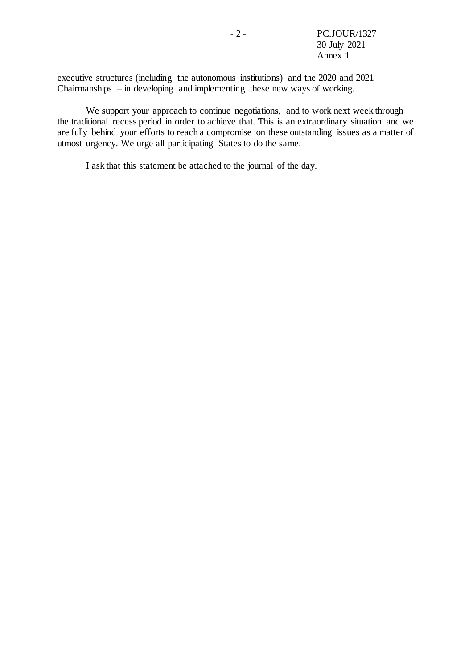executive structures (including the autonomous institutions) and the 2020 and 2021 Chairmanships – in developing and implementing these new ways of working.

We support your approach to continue negotiations, and to work next week through the traditional recess period in order to achieve that. This is an extraordinary situation and we are fully behind your efforts to reach a compromise on these outstanding issues as a matter of utmost urgency. We urge all participating States to do the same.

I ask that this statement be attached to the journal of the day.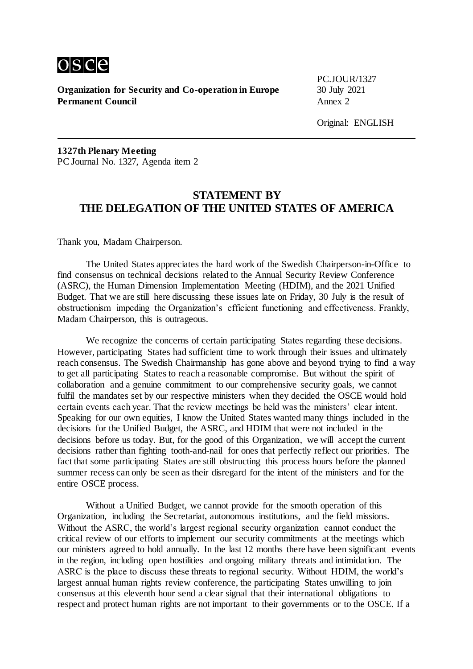

**Organization for Security and Co-operation in Europe** 30 July 2021 **Permanent Council** Annex 2

PC.JOUR/1327

**1327th Plenary Meeting** PC Journal No. 1327, Agenda item 2

## **STATEMENT BY THE DELEGATION OF THE UNITED STATES OF AMERICA**

Thank you, Madam Chairperson.

The United States appreciates the hard work of the Swedish Chairperson-in-Office to find consensus on technical decisions related to the Annual Security Review Conference (ASRC), the Human Dimension Implementation Meeting (HDIM), and the 2021 Unified Budget. That we are still here discussing these issues late on Friday, 30 July is the result of obstructionism impeding the Organization's efficient functioning and effectiveness. Frankly, Madam Chairperson, this is outrageous.

We recognize the concerns of certain participating States regarding these decisions. However, participating States had sufficient time to work through their issues and ultimately reach consensus. The Swedish Chairmanship has gone above and beyond trying to find a way to get all participating States to reach a reasonable compromise. But without the spirit of collaboration and a genuine commitment to our comprehensive security goals, we cannot fulfil the mandates set by our respective ministers when they decided the OSCE would hold certain events each year. That the review meetings be held was the ministers' clear intent. Speaking for our own equities, I know the United States wanted many things included in the decisions for the Unified Budget, the ASRC, and HDIM that were not included in the decisions before us today. But, for the good of this Organization, we will accept the current decisions rather than fighting tooth-and-nail for ones that perfectly reflect our priorities. The fact that some participating States are still obstructing this process hours before the planned summer recess can only be seen as their disregard for the intent of the ministers and for the entire OSCE process.

Without a Unified Budget, we cannot provide for the smooth operation of this Organization, including the Secretariat, autonomous institutions, and the field missions. Without the ASRC, the world's largest regional security organization cannot conduct the critical review of our efforts to implement our security commitments at the meetings which our ministers agreed to hold annually. In the last 12 months there have been significant events in the region, including open hostilities and ongoing military threats and intimidation. The ASRC is the place to discuss these threats to regional security. Without HDIM, the world's largest annual human rights review conference, the participating States unwilling to join consensus at this eleventh hour send a clear signal that their international obligations to respect and protect human rights are not important to their governments or to the OSCE. If a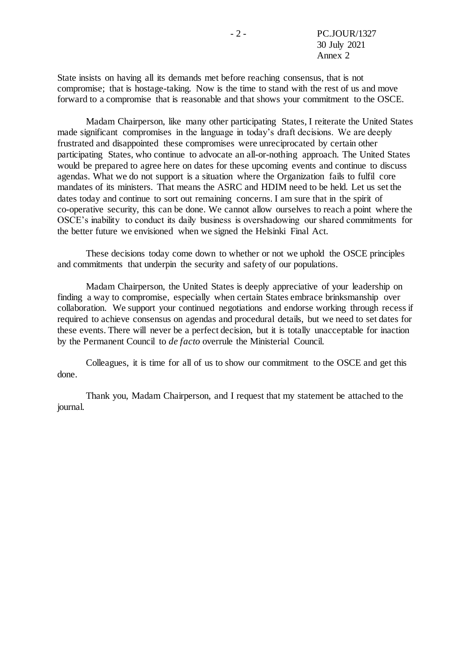State insists on having all its demands met before reaching consensus, that is not compromise; that is hostage-taking. Now is the time to stand with the rest of us and move forward to a compromise that is reasonable and that shows your commitment to the OSCE.

Madam Chairperson, like many other participating States, I reiterate the United States made significant compromises in the language in today's draft decisions. We are deeply frustrated and disappointed these compromises were unreciprocated by certain other participating States, who continue to advocate an all-or-nothing approach. The United States would be prepared to agree here on dates for these upcoming events and continue to discuss agendas. What we do not support is a situation where the Organization fails to fulfil core mandates of its ministers. That means the ASRC and HDIM need to be held. Let us set the dates today and continue to sort out remaining concerns. I am sure that in the spirit of co-operative security, this can be done. We cannot allow ourselves to reach a point where the OSCE's inability to conduct its daily business is overshadowing our shared commitments for the better future we envisioned when we signed the Helsinki Final Act.

These decisions today come down to whether or not we uphold the OSCE principles and commitments that underpin the security and safety of our populations.

Madam Chairperson, the United States is deeply appreciative of your leadership on finding a way to compromise, especially when certain States embrace brinksmanship over collaboration. We support your continued negotiations and endorse working through recess if required to achieve consensus on agendas and procedural details, but we need to set dates for these events. There will never be a perfect decision, but it is totally unacceptable for inaction by the Permanent Council to *de facto* overrule the Ministerial Council.

Colleagues, it is time for all of us to show our commitment to the OSCE and get this done.

Thank you, Madam Chairperson, and I request that my statement be attached to the journal.